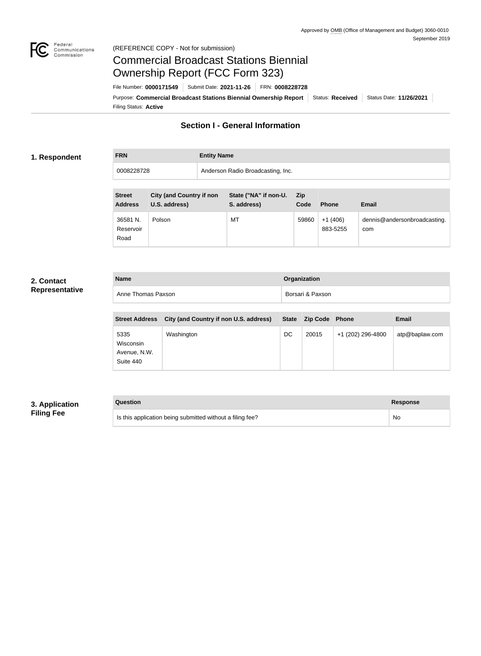

### Federal<br>Communications<br>Commission (REFERENCE COPY - Not for submission)

# Commercial Broadcast Stations Biennial Ownership Report (FCC Form 323)

Filing Status: **Active** Purpose: Commercial Broadcast Stations Biennial Ownership Report Status: Received Status Date: 11/26/2021 File Number: **0000171549** Submit Date: **2021-11-26** FRN: **0008228728**

# **Section I - General Information**

## **1. Respondent**

**FRN Entity Name**

| 0008228728 | Anderson Radio Broadcasting, Inc. |
|------------|-----------------------------------|
|            |                                   |

| <b>Street</b><br><b>Address</b> | <b>City (and Country if non</b><br>U.S. address) | State ("NA" if non-U.<br>S. address) | <b>Zip</b><br>Code | <b>Phone</b>          | <b>Email</b>                        |
|---------------------------------|--------------------------------------------------|--------------------------------------|--------------------|-----------------------|-------------------------------------|
| 36581 N.<br>Reservoir<br>Road   | Polson                                           | МT                                   | 59860              | $+1(406)$<br>883-5255 | dennis@andersonbroadcasting.<br>com |

# **2. Contact Representative**

| <b>Name</b>        | Organization     |
|--------------------|------------------|
| Anne Thomas Paxson | Borsari & Paxson |

| <b>Street Address</b>                          | City (and Country if non U.S. address) |    | State Zip Code Phone |                   | <b>Email</b>   |
|------------------------------------------------|----------------------------------------|----|----------------------|-------------------|----------------|
| 5335<br>Wisconsin<br>Avenue, N.W.<br>Suite 440 | Washington                             | DC | 20015                | +1 (202) 296-4800 | atp@baplaw.com |

# **3. Application Filing Fee**

| Question                                                  | <b>Response</b> |
|-----------------------------------------------------------|-----------------|
| Is this application being submitted without a filing fee? | No              |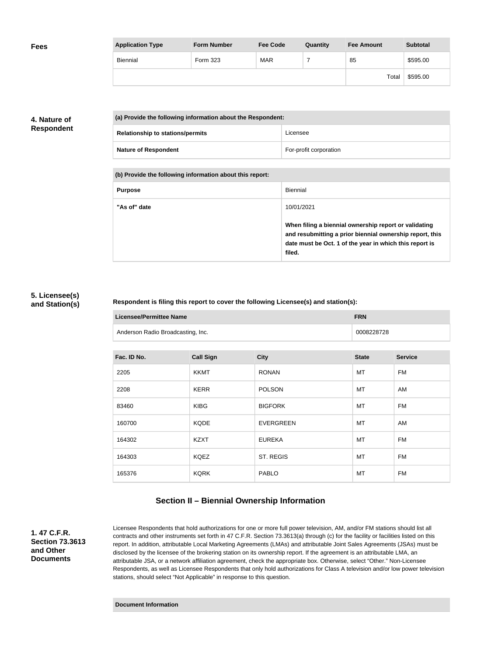| <b>Fees</b> | <b>Application Type</b> | <b>Form Number</b> | <b>Fee Code</b> | Quantity | <b>Fee Amount</b> | <b>Subtotal</b> |
|-------------|-------------------------|--------------------|-----------------|----------|-------------------|-----------------|
|             | Biennial                | Form 323           | MAR             |          | 85                | \$595.00        |
|             |                         |                    |                 |          | Total             | \$595.00        |

# **4. Nature of Respondent**

| (a) Provide the following information about the Respondent: |                        |
|-------------------------------------------------------------|------------------------|
| <b>Relationship to stations/permits</b>                     | Licensee               |
| <b>Nature of Respondent</b>                                 | For-profit corporation |

**(b) Provide the following information about this report:**

| <b>Purpose</b> | Biennial                                                                                                                                                                               |
|----------------|----------------------------------------------------------------------------------------------------------------------------------------------------------------------------------------|
| "As of" date   | 10/01/2021                                                                                                                                                                             |
|                | When filing a biennial ownership report or validating<br>and resubmitting a prior biennial ownership report, this<br>date must be Oct. 1 of the year in which this report is<br>filed. |

### **5. Licensee(s) and Station(s)**

### **Respondent is filing this report to cover the following Licensee(s) and station(s):**

| Licensee/Permittee Name           | <b>FRN</b> |
|-----------------------------------|------------|
| Anderson Radio Broadcasting, Inc. | 0008228728 |

| Fac. ID No. | <b>Call Sign</b> | <b>City</b>      | <b>State</b> | <b>Service</b> |
|-------------|------------------|------------------|--------------|----------------|
| 2205        | <b>KKMT</b>      | <b>RONAN</b>     | MT           | <b>FM</b>      |
| 2208        | <b>KERR</b>      | <b>POLSON</b>    | MT           | AM             |
| 83460       | <b>KIBG</b>      | <b>BIGFORK</b>   | МT           | <b>FM</b>      |
| 160700      | <b>KQDE</b>      | <b>EVERGREEN</b> | MT           | AM             |
| 164302      | <b>KZXT</b>      | <b>EUREKA</b>    | МT           | <b>FM</b>      |
| 164303      | <b>KQEZ</b>      | ST. REGIS        | МT           | <b>FM</b>      |
| 165376      | <b>KQRK</b>      | <b>PABLO</b>     | МT           | FM             |

# **Section II – Biennial Ownership Information**

**1. 47 C.F.R. Section 73.3613 and Other Documents**

Licensee Respondents that hold authorizations for one or more full power television, AM, and/or FM stations should list all contracts and other instruments set forth in 47 C.F.R. Section 73.3613(a) through (c) for the facility or facilities listed on this report. In addition, attributable Local Marketing Agreements (LMAs) and attributable Joint Sales Agreements (JSAs) must be disclosed by the licensee of the brokering station on its ownership report. If the agreement is an attributable LMA, an attributable JSA, or a network affiliation agreement, check the appropriate box. Otherwise, select "Other." Non-Licensee Respondents, as well as Licensee Respondents that only hold authorizations for Class A television and/or low power television stations, should select "Not Applicable" in response to this question.

#### **Document Information**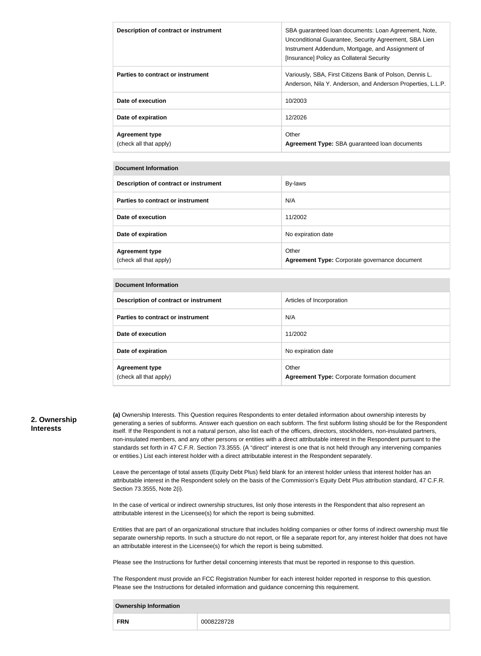| Description of contract or instrument           | SBA quaranteed loan documents: Loan Agreement, Note,<br>Unconditional Guarantee, Security Agreement, SBA Lien<br>Instrument Addendum, Mortgage, and Assignment of<br>[Insurance] Policy as Collateral Security |
|-------------------------------------------------|----------------------------------------------------------------------------------------------------------------------------------------------------------------------------------------------------------------|
| Parties to contract or instrument               | Variously, SBA, First Citizens Bank of Polson, Dennis L.<br>Anderson, Nila Y. Anderson, and Anderson Properties, L.L.P.                                                                                        |
| Date of execution                               | 10/2003                                                                                                                                                                                                        |
| Date of expiration                              | 12/2026                                                                                                                                                                                                        |
| <b>Agreement type</b><br>(check all that apply) | Other<br>Agreement Type: SBA guaranteed loan documents                                                                                                                                                         |

#### **Document Information**

| Description of contract or instrument           | By-laws                                                |
|-------------------------------------------------|--------------------------------------------------------|
| Parties to contract or instrument               | N/A                                                    |
| Date of execution                               | 11/2002                                                |
| Date of expiration                              | No expiration date                                     |
| <b>Agreement type</b><br>(check all that apply) | Other<br>Agreement Type: Corporate governance document |

### **Document Information**

| Description of contract or instrument           | Articles of Incorporation                                    |
|-------------------------------------------------|--------------------------------------------------------------|
| Parties to contract or instrument               | N/A                                                          |
| Date of execution                               | 11/2002                                                      |
| Date of expiration                              | No expiration date                                           |
| <b>Agreement type</b><br>(check all that apply) | Other<br><b>Agreement Type: Corporate formation document</b> |

### **2. Ownership Interests**

**(a)** Ownership Interests. This Question requires Respondents to enter detailed information about ownership interests by generating a series of subforms. Answer each question on each subform. The first subform listing should be for the Respondent itself. If the Respondent is not a natural person, also list each of the officers, directors, stockholders, non-insulated partners, non-insulated members, and any other persons or entities with a direct attributable interest in the Respondent pursuant to the standards set forth in 47 C.F.R. Section 73.3555. (A "direct" interest is one that is not held through any intervening companies or entities.) List each interest holder with a direct attributable interest in the Respondent separately.

Leave the percentage of total assets (Equity Debt Plus) field blank for an interest holder unless that interest holder has an attributable interest in the Respondent solely on the basis of the Commission's Equity Debt Plus attribution standard, 47 C.F.R. Section 73.3555, Note 2(i).

In the case of vertical or indirect ownership structures, list only those interests in the Respondent that also represent an attributable interest in the Licensee(s) for which the report is being submitted.

Entities that are part of an organizational structure that includes holding companies or other forms of indirect ownership must file separate ownership reports. In such a structure do not report, or file a separate report for, any interest holder that does not have an attributable interest in the Licensee(s) for which the report is being submitted.

Please see the Instructions for further detail concerning interests that must be reported in response to this question.

The Respondent must provide an FCC Registration Number for each interest holder reported in response to this question. Please see the Instructions for detailed information and guidance concerning this requirement.

#### **Ownership Information**

| <b>FRN</b> |
|------------|
|------------|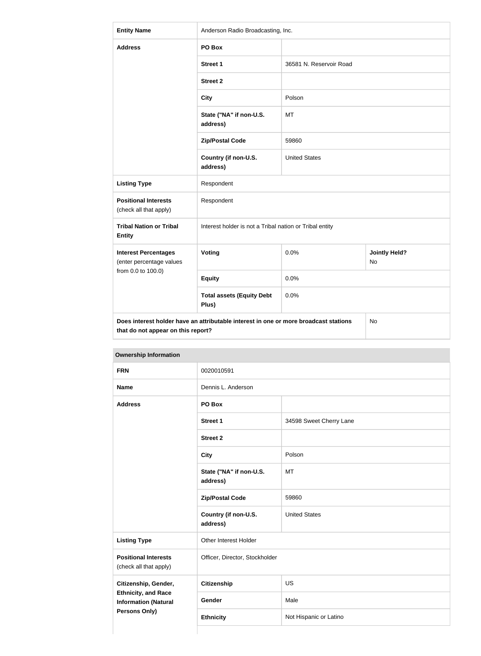| <b>Entity Name</b>                                                                                                               | Anderson Radio Broadcasting, Inc.                       |                         |                             |
|----------------------------------------------------------------------------------------------------------------------------------|---------------------------------------------------------|-------------------------|-----------------------------|
| <b>Address</b>                                                                                                                   | PO Box                                                  |                         |                             |
|                                                                                                                                  | Street 1                                                | 36581 N. Reservoir Road |                             |
|                                                                                                                                  | <b>Street 2</b>                                         |                         |                             |
|                                                                                                                                  | <b>City</b>                                             | Polson                  |                             |
|                                                                                                                                  | State ("NA" if non-U.S.<br>address)                     | <b>MT</b>               |                             |
|                                                                                                                                  | <b>Zip/Postal Code</b>                                  | 59860                   |                             |
|                                                                                                                                  | Country (if non-U.S.<br>address)                        | <b>United States</b>    |                             |
| <b>Listing Type</b>                                                                                                              | Respondent                                              |                         |                             |
| <b>Positional Interests</b><br>(check all that apply)                                                                            | Respondent                                              |                         |                             |
| <b>Tribal Nation or Tribal</b><br><b>Entity</b>                                                                                  | Interest holder is not a Tribal nation or Tribal entity |                         |                             |
| <b>Interest Percentages</b><br>(enter percentage values                                                                          | <b>Voting</b>                                           | 0.0%                    | <b>Jointly Held?</b><br>No. |
| from 0.0 to 100.0)                                                                                                               | <b>Equity</b>                                           | 0.0%                    |                             |
|                                                                                                                                  | <b>Total assets (Equity Debt</b><br>Plus)               | 0.0%                    |                             |
| Does interest holder have an attributable interest in one or more broadcast stations<br>No<br>that do not appear on this report? |                                                         |                         |                             |

| <b>FRN</b>                                                | 0020010591                          |                                |  |
|-----------------------------------------------------------|-------------------------------------|--------------------------------|--|
| <b>Name</b>                                               | Dennis L. Anderson                  |                                |  |
| <b>Address</b>                                            | PO Box                              |                                |  |
|                                                           | <b>Street 1</b>                     | 34598 Sweet Cherry Lane        |  |
|                                                           | <b>Street 2</b>                     |                                |  |
|                                                           | <b>City</b>                         | Polson                         |  |
|                                                           | State ("NA" if non-U.S.<br>address) | <b>MT</b>                      |  |
|                                                           | <b>Zip/Postal Code</b>              | 59860                          |  |
|                                                           | Country (if non-U.S.<br>address)    | <b>United States</b>           |  |
| <b>Listing Type</b>                                       | Other Interest Holder               |                                |  |
| <b>Positional Interests</b><br>(check all that apply)     |                                     | Officer, Director, Stockholder |  |
| Citizenship, Gender,                                      | <b>Citizenship</b>                  | <b>US</b>                      |  |
| <b>Ethnicity, and Race</b><br><b>Information (Natural</b> | Gender                              | Male                           |  |
| Persons Only)                                             | <b>Ethnicity</b>                    | Not Hispanic or Latino         |  |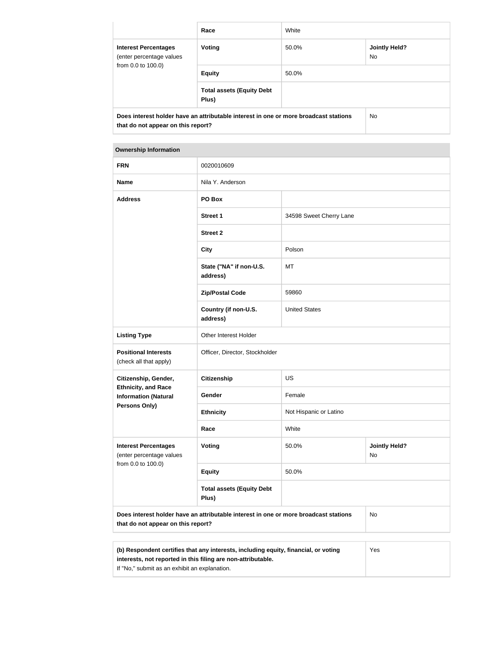|                                                                                                                            | Race                                      | White                                |  |  |
|----------------------------------------------------------------------------------------------------------------------------|-------------------------------------------|--------------------------------------|--|--|
| <b>Interest Percentages</b><br>(enter percentage values<br>from 0.0 to 100.0)                                              | <b>Voting</b>                             | <b>Jointly Held?</b><br>50.0%<br>No. |  |  |
|                                                                                                                            | <b>Equity</b>                             | 50.0%                                |  |  |
|                                                                                                                            | <b>Total assets (Equity Debt</b><br>Plus) |                                      |  |  |
| Does interest holder have an attributable interest in one or more broadcast stations<br>that do not appear on this report? |                                           | No.                                  |  |  |

| <b>Ownership Information</b>                                                                                                            |                                           |                                     |  |  |
|-----------------------------------------------------------------------------------------------------------------------------------------|-------------------------------------------|-------------------------------------|--|--|
| <b>FRN</b>                                                                                                                              | 0020010609                                |                                     |  |  |
| <b>Name</b>                                                                                                                             | Nila Y. Anderson                          |                                     |  |  |
| <b>Address</b>                                                                                                                          | PO Box                                    |                                     |  |  |
|                                                                                                                                         | <b>Street 1</b>                           | 34598 Sweet Cherry Lane             |  |  |
|                                                                                                                                         | <b>Street 2</b>                           |                                     |  |  |
|                                                                                                                                         | <b>City</b>                               | Polson                              |  |  |
|                                                                                                                                         | State ("NA" if non-U.S.<br>address)       | <b>MT</b>                           |  |  |
|                                                                                                                                         | <b>Zip/Postal Code</b>                    | 59860                               |  |  |
|                                                                                                                                         | Country (if non-U.S.<br>address)          | <b>United States</b>                |  |  |
| <b>Listing Type</b>                                                                                                                     | Other Interest Holder                     |                                     |  |  |
| <b>Positional Interests</b><br>(check all that apply)                                                                                   | Officer, Director, Stockholder            |                                     |  |  |
| Citizenship, Gender,                                                                                                                    | <b>Citizenship</b>                        | US                                  |  |  |
| <b>Ethnicity, and Race</b><br><b>Information (Natural</b>                                                                               | Gender                                    | Female                              |  |  |
| <b>Persons Only)</b>                                                                                                                    | <b>Ethnicity</b>                          | Not Hispanic or Latino              |  |  |
|                                                                                                                                         | Race                                      | White                               |  |  |
| <b>Interest Percentages</b><br>(enter percentage values                                                                                 | <b>Voting</b>                             | 50.0%<br><b>Jointly Held?</b><br>No |  |  |
| from 0.0 to 100.0)                                                                                                                      | <b>Equity</b>                             | 50.0%                               |  |  |
|                                                                                                                                         | <b>Total assets (Equity Debt</b><br>Plus) |                                     |  |  |
| Does interest holder have an attributable interest in one or more broadcast stations<br><b>No</b><br>that do not appear on this report? |                                           |                                     |  |  |

| (b) Respondent certifies that any interests, including equity, financial, or voting | Yes |
|-------------------------------------------------------------------------------------|-----|
| interests, not reported in this filing are non-attributable.                        |     |
| If "No," submit as an exhibit an explanation.                                       |     |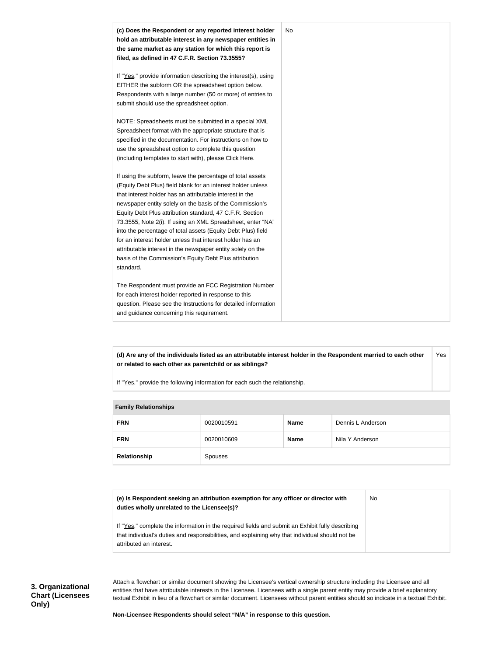

**(d) Are any of the individuals listed as an attributable interest holder in the Respondent married to each other or related to each other as parentchild or as siblings?** Yes

If "Yes," provide the following information for each such the relationship.

| <b>Lattilly INGIGUOILSHIPS</b> |            |             |                   |
|--------------------------------|------------|-------------|-------------------|
| <b>FRN</b>                     | 0020010591 | <b>Name</b> | Dennis L Anderson |
| <b>FRN</b>                     | 0020010609 | <b>Name</b> | Nila Y Anderson   |
| Relationship                   | Spouses    |             |                   |

| <b>Family Relationships</b> |  |
|-----------------------------|--|

| (e) Is Respondent seeking an attribution exemption for any officer or director with              | <b>No</b> |
|--------------------------------------------------------------------------------------------------|-----------|
| duties wholly unrelated to the Licensee(s)?                                                      |           |
|                                                                                                  |           |
| If "Yes," complete the information in the required fields and submit an Exhibit fully describing |           |
| that individual's duties and responsibilities, and explaining why that individual should not be  |           |

that individual's duties and responsibilities, and explaining why that individual should not be attributed an interest.

| 3. Organizational       |
|-------------------------|
| <b>Chart (Licensees</b> |
| Only)                   |

Attach a flowchart or similar document showing the Licensee's vertical ownership structure including the Licensee and all entities that have attributable interests in the Licensee. Licensees with a single parent entity may provide a brief explanatory textual Exhibit in lieu of a flowchart or similar document. Licensees without parent entities should so indicate in a textual Exhibit.

**Non-Licensee Respondents should select "N/A" in response to this question.**